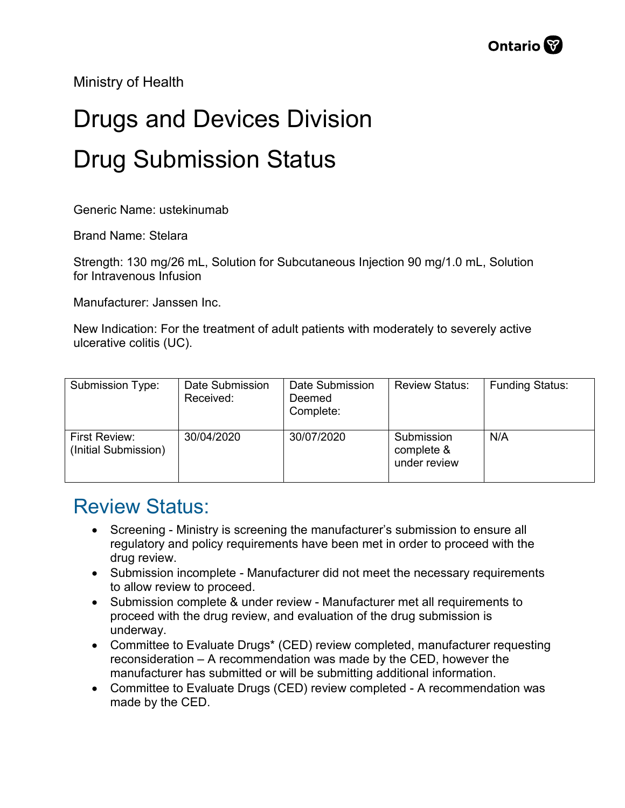Ministry of Health

## Drugs and Devices Division Drug Submission Status

Generic Name: ustekinumab

Brand Name: Stelara

Strength: 130 mg/26 mL, Solution for Subcutaneous Injection 90 mg/1.0 mL, Solution for Intravenous Infusion

Manufacturer: Janssen Inc.

New Indication: For the treatment of adult patients with moderately to severely active ulcerative colitis (UC).

| Submission Type:                      | Date Submission<br>Received: | Date Submission<br>Deemed<br>Complete: | <b>Review Status:</b>                    | <b>Funding Status:</b> |
|---------------------------------------|------------------------------|----------------------------------------|------------------------------------------|------------------------|
| First Review:<br>(Initial Submission) | 30/04/2020                   | 30/07/2020                             | Submission<br>complete &<br>under review | N/A                    |

## Review Status:

- Screening Ministry is screening the manufacturer's submission to ensure all regulatory and policy requirements have been met in order to proceed with the drug review.
- Submission incomplete Manufacturer did not meet the necessary requirements to allow review to proceed.
- Submission complete & under review Manufacturer met all requirements to proceed with the drug review, and evaluation of the drug submission is underway.
- Committee to Evaluate Drugs\* (CED) review completed, manufacturer requesting reconsideration – A recommendation was made by the CED, however the manufacturer has submitted or will be submitting additional information.
- Committee to Evaluate Drugs (CED) review completed A recommendation was made by the CED.